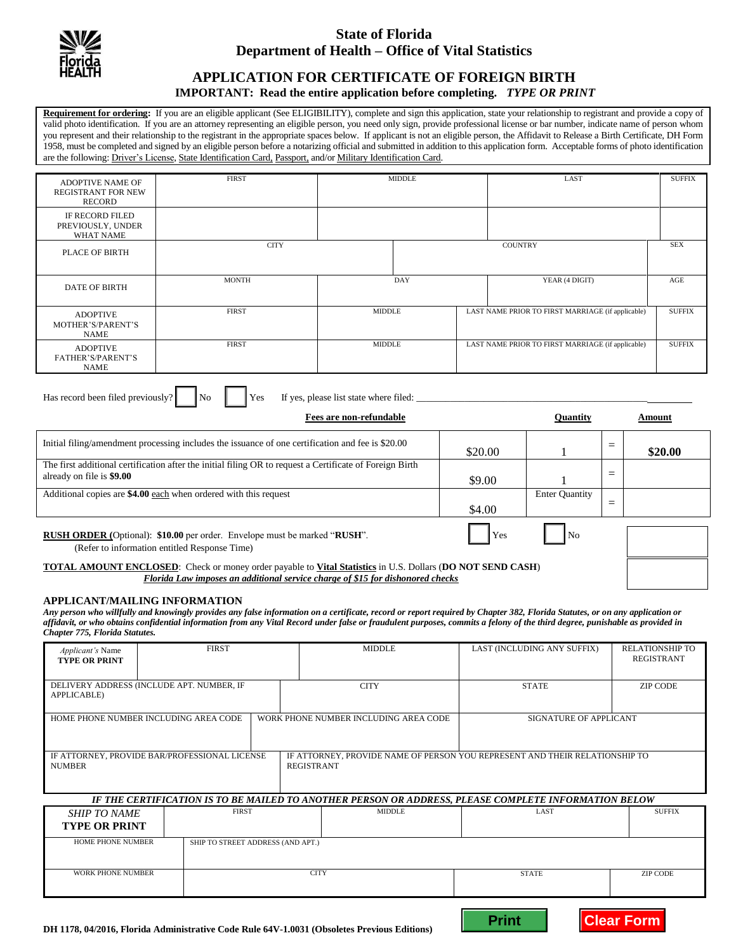

## **State of Florida Department of Health – Office of Vital Statistics**

# **APPLICATION FOR CERTIFICATE OF FOREIGN BIRTH**

### **IMPORTANT: Read the entire application before completing.** *TYPE OR PRINT*

**Requirement for ordering:** If you are an eligible applicant (See ELIGIBILITY), complete and sign this application, state your relationship to registrant and provide a copy of valid photo identification. If you are an attorney representing an eligible person, you need only sign, provide professional license or bar number, indicate name of person whom you represent and their relationship to the registrant in the appropriate spaces below. If applicant is not an eligible person, the Affidavit to Release a Birth Certificate, DH Form 1958, must be completed and signed by an eligible person before a notarizing official and submitted in addition to this application form. Acceptable forms of photo identification are the following: Driver's License, State Identification Card, Passport, and/or Military Identification Card.

| <b>ADOPTIVE NAME OF</b><br><b>REGISTRANT FOR NEW</b><br><b>RECORD</b>                                                                          | <b>FIRST</b><br><b>MIDDLE</b> |                                        |     | LAST                                              |         |                                                   |                 |               | <b>SUFFIX</b> |  |
|------------------------------------------------------------------------------------------------------------------------------------------------|-------------------------------|----------------------------------------|-----|---------------------------------------------------|---------|---------------------------------------------------|-----------------|---------------|---------------|--|
| <b>IF RECORD FILED</b><br>PREVIOUSLY, UNDER<br><b>WHAT NAME</b>                                                                                |                               |                                        |     |                                                   |         |                                                   |                 |               |               |  |
| <b>PLACE OF BIRTH</b>                                                                                                                          | <b>CITY</b>                   |                                        |     | <b>COUNTRY</b>                                    |         |                                                   |                 |               | <b>SEX</b>    |  |
| <b>DATE OF BIRTH</b>                                                                                                                           | <b>MONTH</b>                  |                                        | DAY |                                                   |         | YEAR (4 DIGIT)                                    |                 |               |               |  |
| <b>ADOPTIVE</b><br>MOTHER'S/PARENT'S<br><b>NAME</b>                                                                                            | <b>FIRST</b>                  | <b>MIDDLE</b>                          |     |                                                   |         | LAST NAME PRIOR TO FIRST MARRIAGE (if applicable) |                 |               | <b>SUFFIX</b> |  |
| <b>ADOPTIVE</b><br><b>FATHER'S/PARENT'S</b><br><b>NAME</b>                                                                                     | <b>FIRST</b>                  | <b>MIDDLE</b>                          |     | LAST NAME PRIOR TO FIRST MARRIAGE (if applicable) |         |                                                   |                 | <b>SUFFIX</b> |               |  |
| Has record been filed previously?                                                                                                              | N <sub>o</sub><br>Yes         | If yes, please list state where filed: |     |                                                   |         |                                                   |                 |               |               |  |
| <b>Fees are non-refundable</b>                                                                                                                 |                               |                                        |     |                                                   |         | <b>Ouantity</b>                                   |                 | Amount        |               |  |
| Initial filing/amendment processing includes the issuance of one certification and fee is \$20.00                                              |                               |                                        |     |                                                   | \$20.00 |                                                   | $\quad \  \  =$ |               | \$20.00       |  |
| The first additional certification after the initial filing OR to request a Certificate of Foreign Birth<br>already on file is \$9.00          |                               |                                        |     |                                                   |         |                                                   | $=$             |               |               |  |
| Additional copies are \$4.00 each when ordered with this request                                                                               |                               |                                        |     |                                                   |         | <b>Enter Quantity</b>                             | $=$             |               |               |  |
| <b>RUSH ORDER</b> (Optional): \$10.00 per order. Envelope must be marked "RUSH".<br>Yes<br>No<br>(Refer to information entitled Response Time) |                               |                                        |     |                                                   |         |                                                   |                 |               |               |  |

#### **TOTAL AMOUNT ENCLOSED**: Check or money order payable to **Vital Statistics** in U.S. Dollars (**DO NOT SEND CASH**) *Florida Law imposes an additional service charge of \$15 for dishonored checks*

### **APPLICANT/MAILING INFORMATION**

*Any person who willfully and knowingly provides any false information on a certificate, record or report required by Chapter 382, Florida Statutes, or on any application or affidavit, or who obtains confidential information from any Vital Record under false or fraudulent purposes, commits a felony of the third degree, punishable as provided in Chapter 775, Florida Statutes.*

| Applicant's Name<br><b>TYPE OR PRINT</b>                                                                                                                           | <b>FIRST</b> |                                   |               | <b>MIDDLE</b>                                                                                        | LAST (INCLUDING ANY SUFFIX)     | <b>RELATIONSHIP TO</b><br><b>REGISTRANT</b> |  |  |
|--------------------------------------------------------------------------------------------------------------------------------------------------------------------|--------------|-----------------------------------|---------------|------------------------------------------------------------------------------------------------------|---------------------------------|---------------------------------------------|--|--|
| DELIVERY ADDRESS (INCLUDE APT. NUMBER, IF<br>APPLICABLE)                                                                                                           |              |                                   |               | <b>CITY</b>                                                                                          | <b>STATE</b>                    | <b>ZIP CODE</b>                             |  |  |
| HOME PHONE NUMBER INCLUDING AREA CODE                                                                                                                              |              |                                   |               | WORK PHONE NUMBER INCLUDING AREA CODE                                                                | <b>SIGNATURE OF APPLICANT</b>   |                                             |  |  |
| IF ATTORNEY, PROVIDE BAR/PROFESSIONAL LICENSE<br>IF ATTORNEY, PROVIDE NAME OF PERSON YOU REPRESENT AND THEIR RELATIONSHIP TO<br><b>REGISTRANT</b><br><b>NUMBER</b> |              |                                   |               |                                                                                                      |                                 |                                             |  |  |
|                                                                                                                                                                    |              |                                   |               | IF THE CERTIFICATION IS TO BE MAILED TO ANOTHER PERSON OR ADDRESS, PLEASE COMPLETE INFORMATION BELOW |                                 |                                             |  |  |
| <b>SHIP TO NAME</b><br><b>TYPE OR PRINT</b>                                                                                                                        | <b>FIRST</b> |                                   | <b>MIDDLE</b> | LAST                                                                                                 | <b>SUFFIX</b>                   |                                             |  |  |
| <b>HOME PHONE NUMBER</b>                                                                                                                                           |              | SHIP TO STREET ADDRESS (AND APT.) |               |                                                                                                      |                                 |                                             |  |  |
| <b>WORK PHONE NUMBER</b>                                                                                                                                           |              | <b>CITY</b>                       |               |                                                                                                      | <b>STATE</b><br><b>ZIP CODE</b> |                                             |  |  |